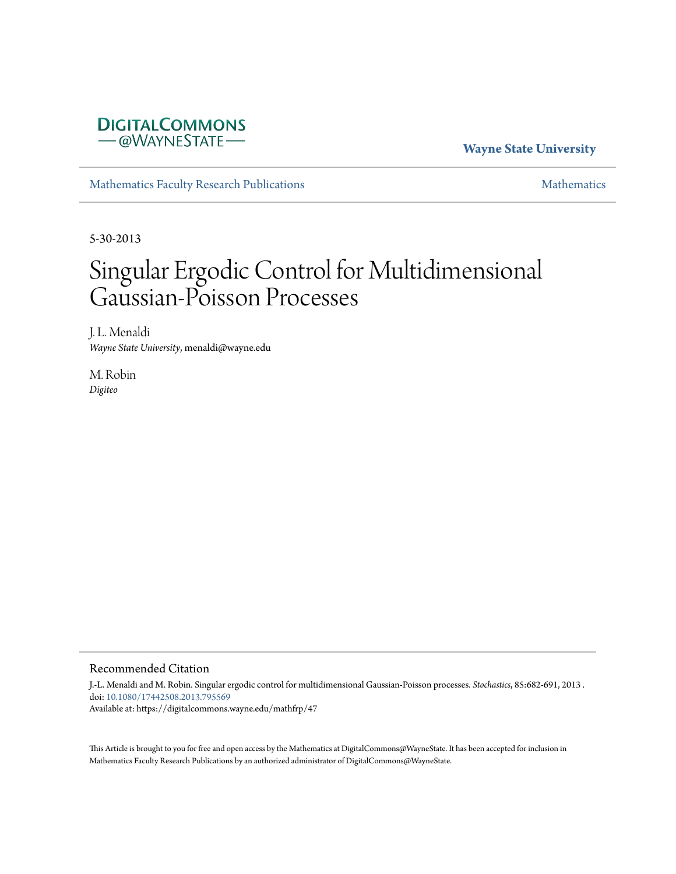

**Wayne State University**

[Mathematics Faculty Research Publications](https://digitalcommons.wayne.edu/mathfrp) [Mathematics](https://digitalcommons.wayne.edu/math) Mathematics

5-30-2013

# Singular Ergodic Control for Multidimensional Gaussian-Poisson Processes

J. L. Menaldi *Wayne State University*, menaldi@wayne.edu

M. Robin *Digiteo*

#### Recommended Citation

J.-L. Menaldi and M. Robin. Singular ergodic control for multidimensional Gaussian-Poisson processes. *Stochastics*, 85:682-691, 2013 . doi: [10.1080/17442508.2013.795569](https://dx.doi.org/10.1080/17442508.2013.795569) Available at: https://digitalcommons.wayne.edu/mathfrp/47

This Article is brought to you for free and open access by the Mathematics at DigitalCommons@WayneState. It has been accepted for inclusion in Mathematics Faculty Research Publications by an authorized administrator of DigitalCommons@WayneState.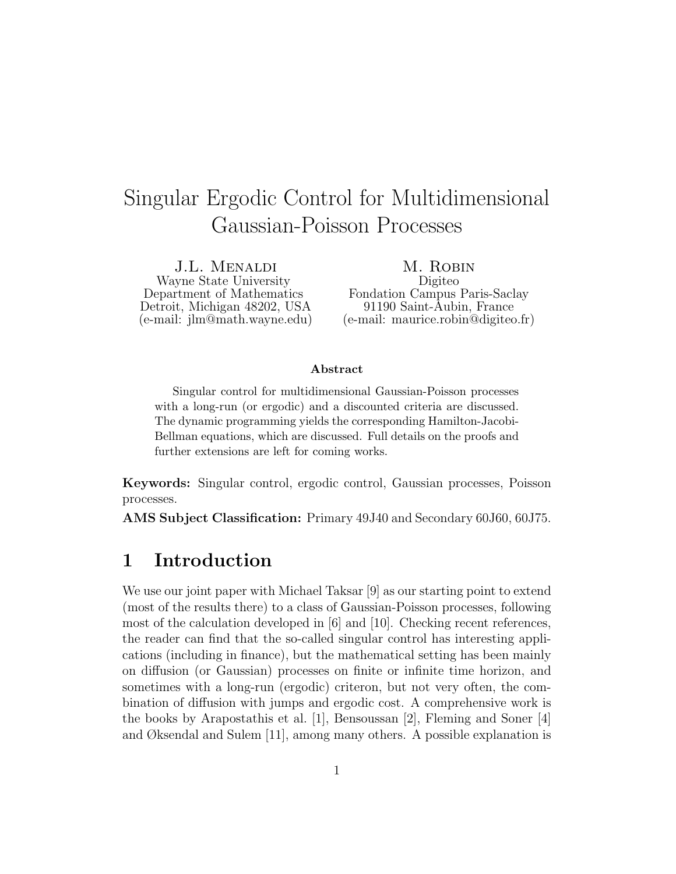## Singular Ergodic Control for Multidimensional Gaussian-Poisson Processes

J.L. Menaldi Wayne State University Department of Mathematics Detroit, Michigan 48202, USA (e-mail: jlm@math.wayne.edu)

M. Robin Digiteo Fondation Campus Paris-Saclay 91190 Saint-Aubin, France (e-mail: maurice.robin@digiteo.fr)

#### Abstract

Singular control for multidimensional Gaussian-Poisson processes with a long-run (or ergodic) and a discounted criteria are discussed. The dynamic programming yields the corresponding Hamilton-Jacobi-Bellman equations, which are discussed. Full details on the proofs and further extensions are left for coming works.

Keywords: Singular control, ergodic control, Gaussian processes, Poisson processes.

AMS Subject Classification: Primary 49J40 and Secondary 60J60, 60J75.

### 1 Introduction

We use our joint paper with Michael Taksar [9] as our starting point to extend (most of the results there) to a class of Gaussian-Poisson processes, following most of the calculation developed in [6] and [10]. Checking recent references, the reader can find that the so-called singular control has interesting applications (including in finance), but the mathematical setting has been mainly on diffusion (or Gaussian) processes on finite or infinite time horizon, and sometimes with a long-run (ergodic) criteron, but not very often, the combination of diffusion with jumps and ergodic cost. A comprehensive work is the books by Arapostathis et al. [1], Bensoussan [2], Fleming and Soner [4] and Øksendal and Sulem [11], among many others. A possible explanation is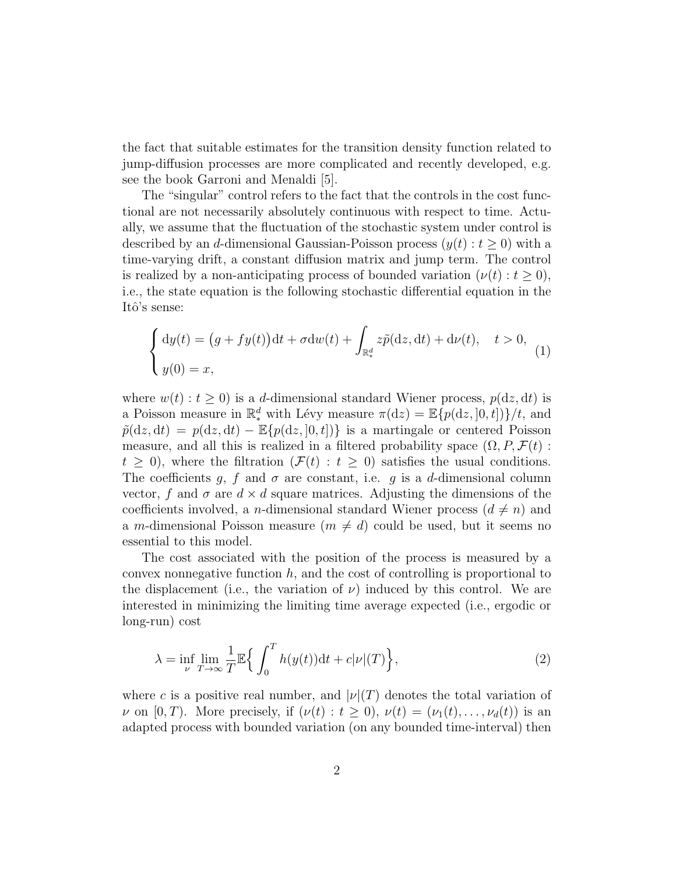the fact that suitable estimates for the transition density function related to jump-diffusion processes are more complicated and recently developed, e.g. see the book Garroni and Menaldi [5].

The "singular" control refers to the fact that the controls in the cost functional are not necessarily absolutely continuous with respect to time. Actually, we assume that the fluctuation of the stochastic system under control is described by an d-dimensional Gaussian-Poisson process  $(y(t): t \ge 0)$  with a time-varying drift, a constant diffusion matrix and jump term. The control is realized by a non-anticipating process of bounded variation  $(\nu(t): t \geq 0)$ , i.e., the state equation is the following stochastic differential equation in the Itô's sense:

$$
\begin{cases} dy(t) = (g + fy(t))dt + \sigma dw(t) + \int_{\mathbb{R}^d_*} z\tilde{p}(dz, dt) + d\nu(t), \quad t > 0, \\ y(0) = x, \end{cases}
$$
 (1)

where  $w(t)$ :  $t \geq 0$ ) is a d-dimensional standard Wiener process,  $p(dz, dt)$  is a Poisson measure in  $\mathbb{R}^d_*$  with Lévy measure  $\pi(\mathrm{d}z) = \mathbb{E}\{p(\mathrm{d}z, ]0, t]\} / t$ , and  $\tilde{p}(dz, dt) = p(dz, dt) - \mathbb{E}{p(dz, 0, t)}$  is a martingale or centered Poisson measure, and all this is realized in a filtered probability space  $(\Omega, P, \mathcal{F}(t))$ :  $t \geq 0$ , where the filtration  $(F(t): t \geq 0)$  satisfies the usual conditions. The coefficients g, f and  $\sigma$  are constant, i.e. g is a d-dimensional column vector, f and  $\sigma$  are  $d \times d$  square matrices. Adjusting the dimensions of the coefficients involved, a *n*-dimensional standard Wiener process  $(d \neq n)$  and a m-dimensional Poisson measure  $(m \neq d)$  could be used, but it seems no essential to this model.

The cost associated with the position of the process is measured by a convex nonnegative function  $h$ , and the cost of controlling is proportional to the displacement (i.e., the variation of  $\nu$ ) induced by this control. We are interested in minimizing the limiting time average expected (i.e., ergodic or long-run) cost

$$
\lambda = \inf_{\nu} \lim_{T \to \infty} \frac{1}{T} \mathbb{E} \Big\{ \int_0^T h(y(t)) \mathrm{d}t + c|\nu|(T) \Big\},\tag{2}
$$

where c is a positive real number, and  $|\nu|(T)$  denotes the total variation of  $\nu$  on [0, T). More precisely, if  $(\nu(t): t \geq 0)$ ,  $\nu(t) = (\nu_1(t), \ldots, \nu_d(t))$  is an adapted process with bounded variation (on any bounded time-interval) then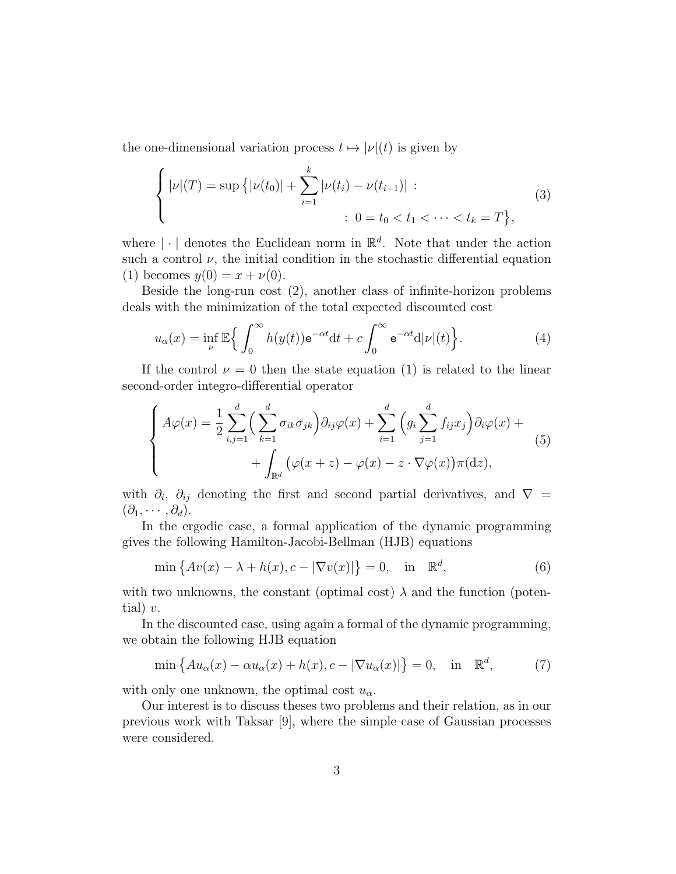the one-dimensional variation process  $t \mapsto |\nu|(t)$  is given by

$$
\begin{cases} |\nu|(T) = \sup\left\{ |\nu(t_0)| + \sum_{i=1}^k |\nu(t_i) - \nu(t_{i-1})| : \right. \\ \qquad \qquad : \ 0 = t_0 < t_1 < \cdots < t_k = T \right\}, \end{cases} \tag{3}
$$

where  $|\cdot|$  denotes the Euclidean norm in  $\mathbb{R}^d$ . Note that under the action such a control  $\nu$ , the initial condition in the stochastic differential equation (1) becomes  $y(0) = x + \nu(0)$ .

Beside the long-run cost (2), another class of infinite-horizon problems deals with the minimization of the total expected discounted cost

$$
u_{\alpha}(x) = \inf_{\nu} \mathbb{E}\Big\{ \int_0^{\infty} h(y(t)) \mathrm{e}^{-\alpha t} \mathrm{d}t + c \int_0^{\infty} \mathrm{e}^{-\alpha t} \mathrm{d}|\nu|(t) \Big\}.
$$
 (4)

If the control  $\nu = 0$  then the state equation (1) is related to the linear second-order integro-differential operator

$$
\begin{cases}\nA\varphi(x) = \frac{1}{2} \sum_{i,j=1}^{d} \left( \sum_{k=1}^{d} \sigma_{ik} \sigma_{jk} \right) \partial_{ij} \varphi(x) + \sum_{i=1}^{d} \left( g_i \sum_{j=1}^{d} f_{ij} x_j \right) \partial_i \varphi(x) + \\
&+ \int_{\mathbb{R}^d} \left( \varphi(x+z) - \varphi(x) - z \cdot \nabla \varphi(x) \right) \pi(\mathrm{d}z),\n\end{cases} \tag{5}
$$

with  $\partial_i$ ,  $\partial_{ij}$  denoting the first and second partial derivatives, and  $\nabla =$  $(\partial_1, \cdots, \partial_d).$ 

In the ergodic case, a formal application of the dynamic programming gives the following Hamilton-Jacobi-Bellman (HJB) equations

$$
\min\left\{Av(x) - \lambda + h(x), c - |\nabla v(x)|\right\} = 0, \quad \text{in} \quad \mathbb{R}^d,
$$
\n(6)

with two unknowns, the constant (optimal cost)  $\lambda$  and the function (potential)  $v$ .

In the discounted case, using again a formal of the dynamic programming, we obtain the following HJB equation

$$
\min\left\{Au_{\alpha}(x) - \alpha u_{\alpha}(x) + h(x), c - |\nabla u_{\alpha}(x)|\right\} = 0, \quad \text{in} \quad \mathbb{R}^{d},\tag{7}
$$

with only one unknown, the optimal cost  $u_{\alpha}$ .

Our interest is to discuss theses two problems and their relation, as in our previous work with Taksar [9], where the simple case of Gaussian processes were considered.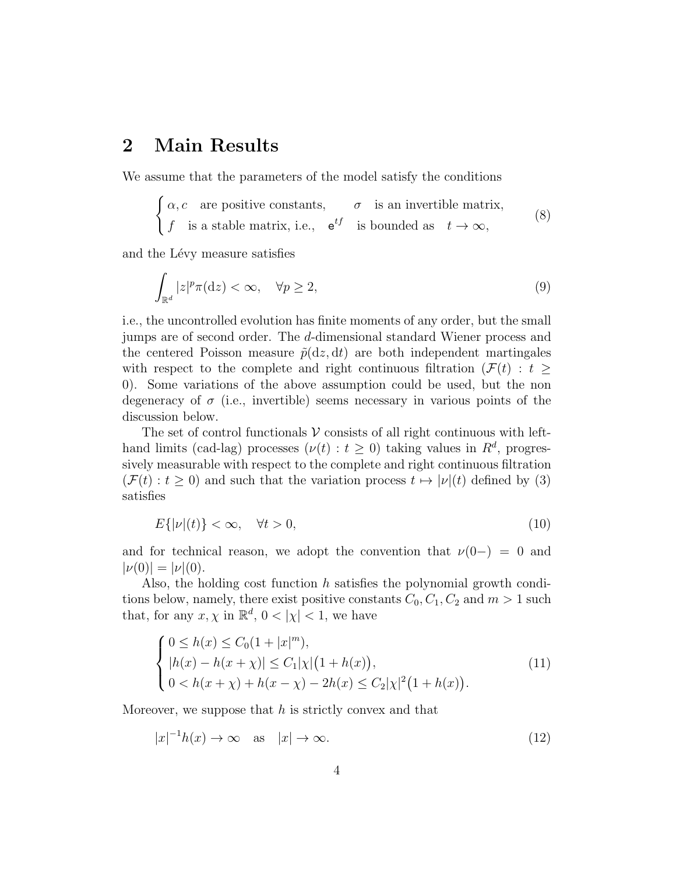#### 2 Main Results

We assume that the parameters of the model satisfy the conditions

$$
\begin{cases} \alpha, c & \text{are positive constants}, \\ f & \text{is a stable matrix, i.e., } e^{tf} & \text{is bounded as } t \to \infty, \end{cases}
$$
 (8)

and the Lévy measure satisfies

$$
\int_{\mathbb{R}^d} |z|^p \pi(\mathrm{d}z) < \infty, \quad \forall p \ge 2,\tag{9}
$$

i.e., the uncontrolled evolution has finite moments of any order, but the small jumps are of second order. The d-dimensional standard Wiener process and the centered Poisson measure  $\tilde{p}(dz, dt)$  are both independent martingales with respect to the complete and right continuous filtration ( $\mathcal{F}(t)$ :  $t \geq$ 0). Some variations of the above assumption could be used, but the non degeneracy of  $\sigma$  (i.e., invertible) seems necessary in various points of the discussion below.

The set of control functionals  $V$  consists of all right continuous with lefthand limits (cad-lag) processes  $(\nu(t): t \geq 0)$  taking values in  $R^d$ , progressively measurable with respect to the complete and right continuous filtration  $(\mathcal{F}(t): t > 0)$  and such that the variation process  $t \mapsto |\nu|(t)$  defined by (3) satisfies

$$
E\{|\nu|(t)\} < \infty, \quad \forall t > 0,\tag{10}
$$

and for technical reason, we adopt the convention that  $\nu(0-) = 0$  and  $|\nu(0)| = |\nu|(0).$ 

Also, the holding cost function h satisfies the polynomial growth conditions below, namely, there exist positive constants  $C_0, C_1, C_2$  and  $m > 1$  such that, for any  $x, \chi$  in  $\mathbb{R}^d$ ,  $0 < |\chi| < 1$ , we have

$$
\begin{cases}\n0 \le h(x) \le C_0(1+|x|^m), \\
|h(x) - h(x+\chi)| \le C_1|\chi|\big(1+h(x)\big), \\
0 < h(x+\chi) + h(x-\chi) - 2h(x) \le C_2|\chi|^2\big(1+h(x)\big).\n\end{cases} \tag{11}
$$

Moreover, we suppose that  $h$  is strictly convex and that

$$
|x|^{-1}h(x) \to \infty \quad \text{as} \quad |x| \to \infty. \tag{12}
$$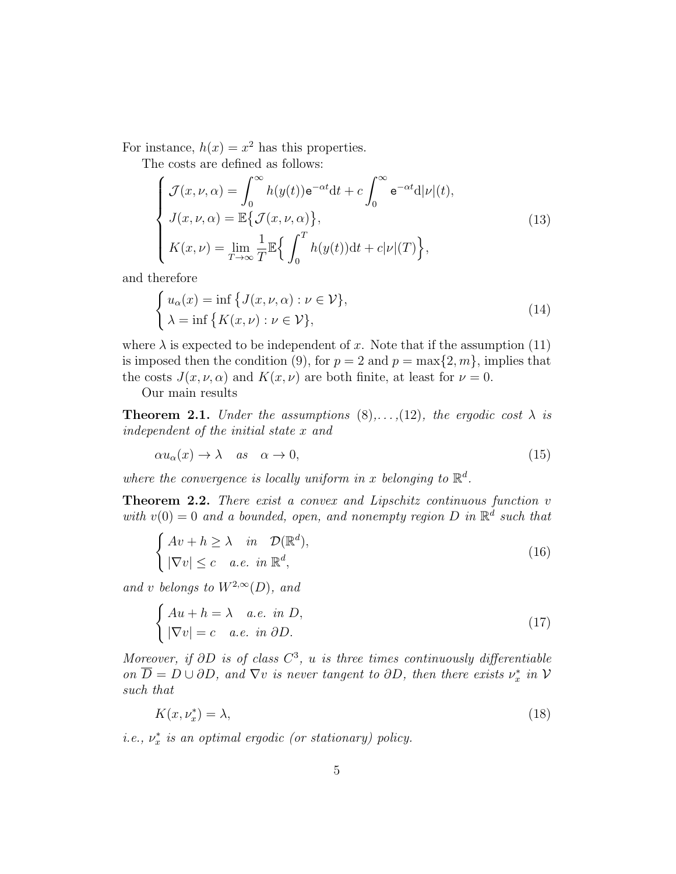For instance,  $h(x) = x^2$  has this properties.

The costs are defined as follows:

$$
\begin{cases}\n\mathcal{J}(x,\nu,\alpha) = \int_0^\infty h(y(t)) \mathrm{e}^{-\alpha t} \mathrm{d}t + c \int_0^\infty \mathrm{e}^{-\alpha t} \mathrm{d}|\nu|(t), \\
J(x,\nu,\alpha) = \mathbb{E}\left\{\mathcal{J}(x,\nu,\alpha)\right\}, \\
K(x,\nu) = \lim_{T \to \infty} \frac{1}{T} \mathbb{E}\left\{\int_0^T h(y(t)) \mathrm{d}t + c|\nu|(T)\right\},\n\end{cases}
$$
\n(13)

and therefore

$$
\begin{cases}\n u_{\alpha}(x) = \inf \{ J(x, \nu, \alpha) : \nu \in \mathcal{V} \}, \\
 \lambda = \inf \{ K(x, \nu) : \nu \in \mathcal{V} \},\n\end{cases}
$$
\n(14)

where  $\lambda$  is expected to be independent of x. Note that if the assumption (11) is imposed then the condition (9), for  $p = 2$  and  $p = \max\{2, m\}$ , implies that the costs  $J(x, \nu, \alpha)$  and  $K(x, \nu)$  are both finite, at least for  $\nu = 0$ .

Our main results

**Theorem 2.1.** Under the assumptions  $(8), \ldots, (12)$ , the ergodic cost  $\lambda$  is independent of the initial state x and

$$
\alpha u_{\alpha}(x) \to \lambda \quad as \quad \alpha \to 0,\tag{15}
$$

where the convergence is locally uniform in x belonging to  $\mathbb{R}^d$ .

Theorem 2.2. There exist a convex and Lipschitz continuous function v with  $v(0) = 0$  and a bounded, open, and nonempty region D in  $\mathbb{R}^d$  such that

$$
\begin{cases}\nAv + h \ge \lambda & \text{in } \mathcal{D}(\mathbb{R}^d), \\
|\nabla v| \le c & a.e. \text{ in } \mathbb{R}^d,\n\end{cases}
$$
\n(16)

and v belongs to  $W^{2,\infty}(D)$ , and

$$
\begin{cases}\nAu + h = \lambda & a.e. \in D, \\
|\nabla v| = c & a.e. \in \partial D.\n\end{cases}
$$
\n(17)

Moreover, if  $\partial D$  is of class  $C^3$ , u is three times continuously differentiable on  $\overline{D} = D \cup \partial D$ , and  $\nabla v$  is never tangent to  $\partial D$ , then there exists  $\nu_x^*$  in  $\mathcal V$ such that

$$
K(x, \nu_x^*) = \lambda,\tag{18}
$$

*i.e.*,  $\nu_x^*$  *is an optimal ergodic (or stationary) policy.*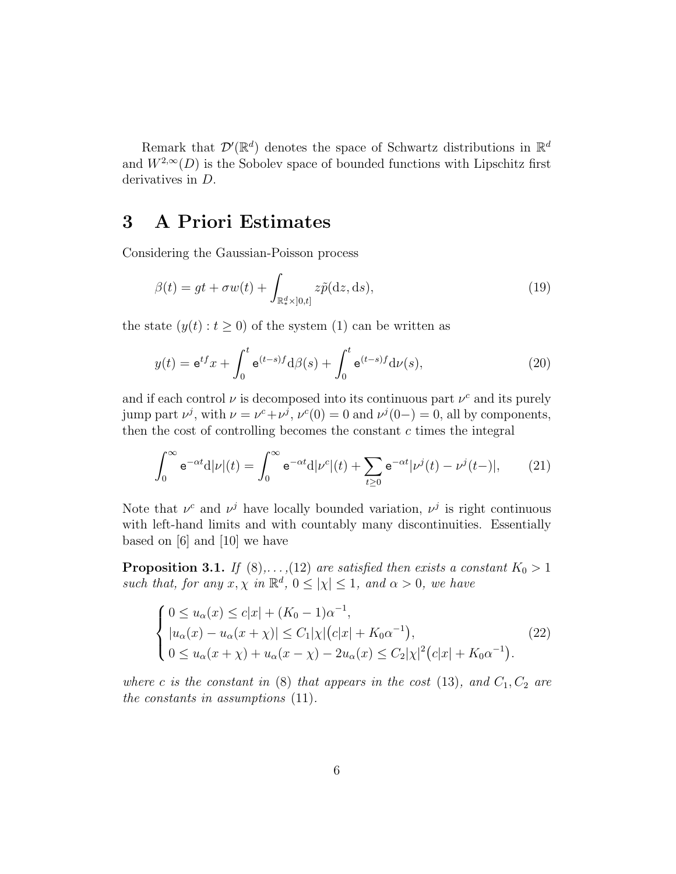Remark that  $\mathcal{D}'(\mathbb{R}^d)$  denotes the space of Schwartz distributions in  $\mathbb{R}^d$ and  $W^{2,\infty}(D)$  is the Sobolev space of bounded functions with Lipschitz first derivatives in D.

#### 3 A Priori Estimates

Considering the Gaussian-Poisson process

$$
\beta(t) = gt + \sigma w(t) + \int_{\mathbb{R}_*^d \times ]0,t]} z\tilde{p}(\mathrm{d}z, \mathrm{d}s),\tag{19}
$$

the state  $(y(t): t \geq 0)$  of the system (1) can be written as

$$
y(t) = e^{tf}x + \int_0^t e^{(t-s)f} d\beta(s) + \int_0^t e^{(t-s)f} d\nu(s), \qquad (20)
$$

and if each control  $\nu$  is decomposed into its continuous part  $\nu^c$  and its purely jump part  $\nu^j$ , with  $\nu = \nu^c + \nu^j$ ,  $\nu^c(0) = 0$  and  $\nu^j(0-) = 0$ , all by components, then the cost of controlling becomes the constant  $c$  times the integral

$$
\int_0^\infty \mathbf{e}^{-\alpha t} d|\nu|(t) = \int_0^\infty \mathbf{e}^{-\alpha t} d|\nu^c|(t) + \sum_{t \ge 0} \mathbf{e}^{-\alpha t} |\nu^j(t) - \nu^j(t-)|, \qquad (21)
$$

Note that  $\nu^c$  and  $\nu^j$  have locally bounded variation,  $\nu^j$  is right continuous with left-hand limits and with countably many discontinuities. Essentially based on [6] and [10] we have

**Proposition 3.1.** If  $(8)$ ,..., $(12)$  are satisfied then exists a constant  $K_0 > 1$ such that, for any  $x, \chi$  in  $\mathbb{R}^d$ ,  $0 \leq |\chi| \leq 1$ , and  $\alpha > 0$ , we have

$$
\begin{cases}\n0 \le u_{\alpha}(x) \le c|x| + (K_0 - 1)\alpha^{-1}, \n|u_{\alpha}(x) - u_{\alpha}(x + \chi)| \le C_1|\chi|(c|x| + K_0\alpha^{-1}), \n0 \le u_{\alpha}(x + \chi) + u_{\alpha}(x - \chi) - 2u_{\alpha}(x) \le C_2|\chi|^2(c|x| + K_0\alpha^{-1}).\n\end{cases}
$$
\n(22)

where c is the constant in (8) that appears in the cost (13), and  $C_1, C_2$  are the constants in assumptions (11).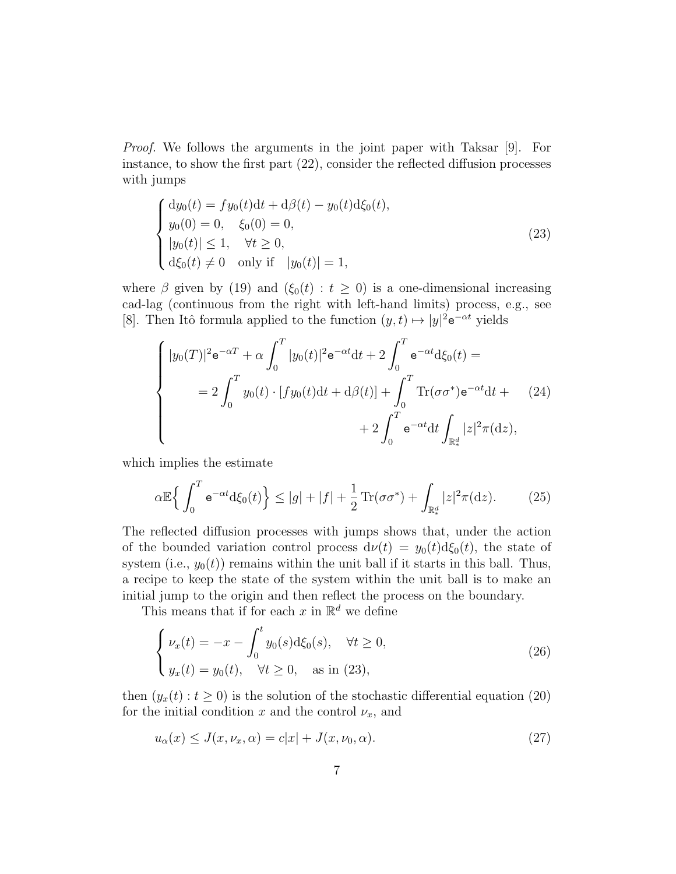Proof. We follows the arguments in the joint paper with Taksar [9]. For instance, to show the first part (22), consider the reflected diffusion processes with jumps

$$
\begin{cases}\ndy_0(t) = fy_0(t)dt + d\beta(t) - y_0(t)d\xi_0(t),\ny_0(0) = 0, \quad \xi_0(0) = 0,\|y_0(t)\| \le 1, \quad \forall t \ge 0,\nd\xi_0(t) \ne 0 \quad \text{only if} \quad |y_0(t)| = 1,\n\end{cases}
$$
\n(23)

where  $\beta$  given by (19) and ( $\xi_0(t) : t \geq 0$ ) is a one-dimensional increasing cad-lag (continuous from the right with left-hand limits) process, e.g., see [8]. Then Itô formula applied to the function  $(y, t) \mapsto |y|^2 e^{-\alpha t}$  yields

$$
\begin{cases}\n|y_0(T)|^2 e^{-\alpha T} + \alpha \int_0^T |y_0(t)|^2 e^{-\alpha t} dt + 2 \int_0^T e^{-\alpha t} d\xi_0(t) = \\
= 2 \int_0^T y_0(t) \cdot [fy_0(t) dt + d\beta(t)] + \int_0^T \text{Tr}(\sigma \sigma^*) e^{-\alpha t} dt + (24) \\
+ 2 \int_0^T e^{-\alpha t} dt \int_{\mathbb{R}^d_*} |z|^2 \pi(dz),\n\end{cases}
$$

which implies the estimate

$$
\alpha \mathbb{E}\left\{\int_0^T \mathrm{e}^{-\alpha t} \mathrm{d}\xi_0(t)\right\} \le |g| + |f| + \frac{1}{2}\mathrm{Tr}(\sigma \sigma^*) + \int_{\mathbb{R}^d_*} |z|^2 \pi(\mathrm{d}z). \tag{25}
$$

The reflected diffusion processes with jumps shows that, under the action of the bounded variation control process  $d\nu(t) = y_0(t) d\xi_0(t)$ , the state of system (i.e.,  $y_0(t)$ ) remains within the unit ball if it starts in this ball. Thus, a recipe to keep the state of the system within the unit ball is to make an initial jump to the origin and then reflect the process on the boundary.

This means that if for each x in  $\mathbb{R}^d$  we define

$$
\begin{cases}\n\nu_x(t) = -x - \int_0^t y_0(s) \, d\xi_0(s), & \forall t \ge 0, \\
y_x(t) = y_0(t), & \forall t \ge 0, \quad \text{as in (23)},\n\end{cases}\n\tag{26}
$$

then  $(y_x(t): t \ge 0)$  is the solution of the stochastic differential equation (20) for the initial condition x and the control  $\nu_x$ , and

$$
u_{\alpha}(x) \le J(x, \nu_x, \alpha) = c|x| + J(x, \nu_0, \alpha). \tag{27}
$$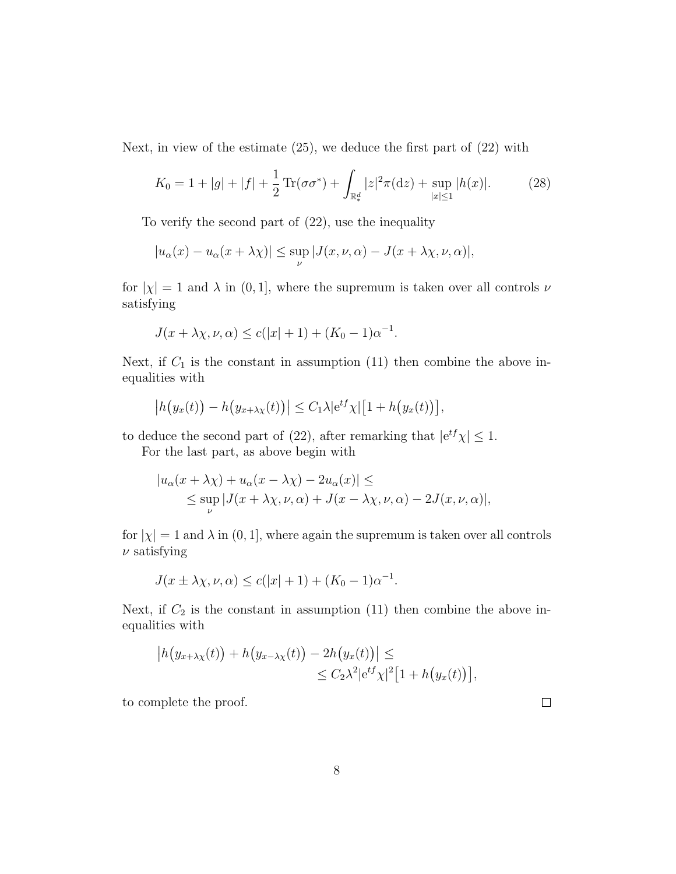Next, in view of the estimate (25), we deduce the first part of (22) with

$$
K_0 = 1 + |g| + |f| + \frac{1}{2} \operatorname{Tr}(\sigma \sigma^*) + \int_{\mathbb{R}^d_*} |z|^2 \pi(\mathrm{d}z) + \sup_{|x| \le 1} |h(x)|. \tag{28}
$$

To verify the second part of (22), use the inequality

$$
|u_{\alpha}(x) - u_{\alpha}(x + \lambda \chi)| \leq \sup_{\nu} |J(x, \nu, \alpha) - J(x + \lambda \chi, \nu, \alpha)|,
$$

for  $|\chi| = 1$  and  $\lambda$  in  $(0, 1]$ , where the supremum is taken over all controls  $\nu$ satisfying

$$
J(x + \lambda \chi, \nu, \alpha) \le c(|x| + 1) + (K_0 - 1)\alpha^{-1}.
$$

Next, if  $C_1$  is the constant in assumption (11) then combine the above inequalities with

$$
\left| h\big(y_x(t)\big) - h\big(y_{x+\lambda x}(t)\big) \right| \leq C_1 \lambda \left| e^{tf} \chi \right| \left[ 1 + h\big(y_x(t)\big) \right],
$$

to deduce the second part of (22), after remarking that  $|e^{tf}\chi| \leq 1$ .

For the last part, as above begin with

$$
|u_{\alpha}(x + \lambda \chi) + u_{\alpha}(x - \lambda \chi) - 2u_{\alpha}(x)| \le
$$
  
\$\le \sup\_{\nu} |J(x + \lambda \chi, \nu, \alpha) + J(x - \lambda \chi, \nu, \alpha) - 2J(x, \nu, \alpha)|\$,

for  $|\chi| = 1$  and  $\lambda$  in  $(0, 1]$ , where again the supremum is taken over all controls  $\nu$  satisfying

$$
J(x \pm \lambda \chi, \nu, \alpha) \le c(|x| + 1) + (K_0 - 1)\alpha^{-1}.
$$

Next, if  $C_2$  is the constant in assumption (11) then combine the above inequalities with

$$
\left| h(y_{x+\lambda\chi}(t)) + h(y_{x-\lambda\chi}(t)) - 2h(y_x(t)) \right| \le
$$
  
 
$$
\leq C_2 \lambda^2 |e^{tf} \chi|^2 [1 + h(y_x(t))],
$$

to complete the proof.

 $\Box$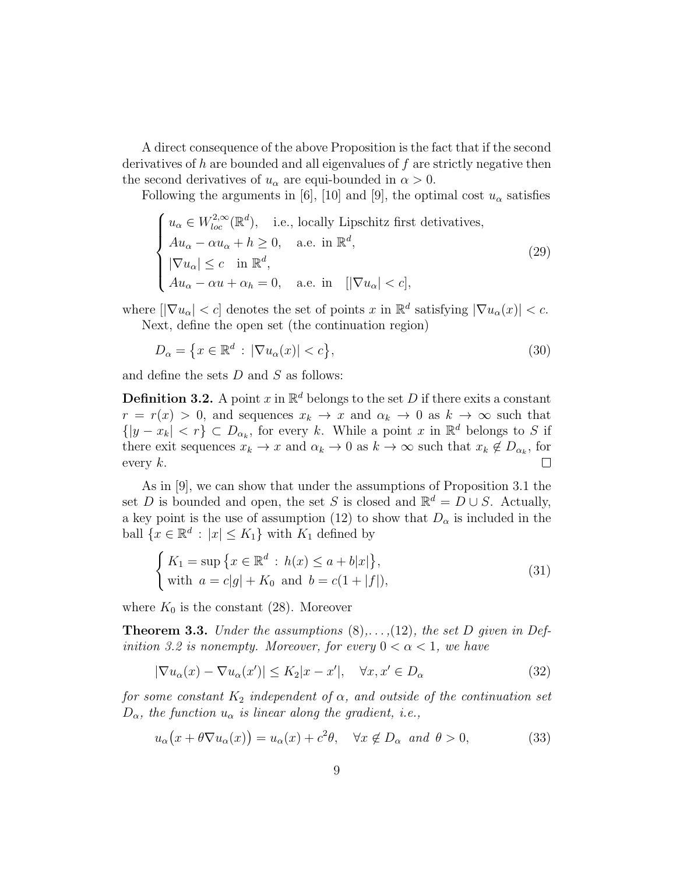A direct consequence of the above Proposition is the fact that if the second derivatives of h are bounded and all eigenvalues of  $f$  are strictly negative then the second derivatives of  $u_{\alpha}$  are equi-bounded in  $\alpha > 0$ .

Following the arguments in [6], [10] and [9], the optimal cost  $u_{\alpha}$  satisfies

$$
\begin{cases}\n u_{\alpha} \in W_{loc}^{2,\infty}(\mathbb{R}^{d}), & \text{i.e., locally Lipschitz first derivatives,} \\
 Au_{\alpha} - \alpha u_{\alpha} + h \ge 0, & \text{a.e. in } \mathbb{R}^{d}, \\
 |\nabla u_{\alpha}| \le c \quad \text{in } \mathbb{R}^{d}, \\
 Au_{\alpha} - \alpha u + \alpha_{h} = 0, & \text{a.e. in } \left[ |\nabla u_{\alpha}| < c \right],\n\end{cases}
$$
\n(29)

where  $[|\nabla u_{\alpha}| < c]$  denotes the set of points x in  $\mathbb{R}^d$  satisfying  $|\nabla u_{\alpha}(x)| < c$ . Next, define the open set (the continuation region)

$$
D_{\alpha} = \{ x \in \mathbb{R}^d : |\nabla u_{\alpha}(x)| < c \},\tag{30}
$$

and define the sets  $D$  and  $S$  as follows:

**Definition 3.2.** A point x in  $\mathbb{R}^d$  belongs to the set D if there exits a constant  $r = r(x) > 0$ , and sequences  $x_k \to x$  and  $\alpha_k \to 0$  as  $k \to \infty$  such that  $\{|y - x_k| < r\} \subset D_{\alpha_k}$ , for every k. While a point x in  $\mathbb{R}^d$  belongs to S if there exit sequences  $x_k \to x$  and  $\alpha_k \to 0$  as  $k \to \infty$  such that  $x_k \notin D_{\alpha_k}$ , for  $\Box$ every  $k$ .

As in [9], we can show that under the assumptions of Proposition 3.1 the set D is bounded and open, the set S is closed and  $\mathbb{R}^d = D \cup S$ . Actually, a key point is the use of assumption (12) to show that  $D_{\alpha}$  is included in the ball  $\{x \in \mathbb{R}^d : |x| \leq K_1\}$  with  $K_1$  defined by

$$
\begin{cases} K_1 = \sup \{ x \in \mathbb{R}^d : h(x) \le a + b|x| \}, \\ \text{with } a = c|g| + K_0 \text{ and } b = c(1 + |f|), \end{cases}
$$
 (31)

where  $K_0$  is the constant (28). Moreover

**Theorem 3.3.** Under the assumptions  $(8), \ldots, (12)$ , the set D given in Definition 3.2 is nonempty. Moreover, for every  $0 < \alpha < 1$ , we have

$$
|\nabla u_{\alpha}(x) - \nabla u_{\alpha}(x')| \le K_2 |x - x'|, \quad \forall x, x' \in D_{\alpha}
$$
\n(32)

for some constant  $K_2$  independent of  $\alpha$ , and outside of the continuation set  $D_{\alpha}$ , the function  $u_{\alpha}$  is linear along the gradient, i.e.,

$$
u_{\alpha}(x + \theta \nabla u_{\alpha}(x)) = u_{\alpha}(x) + c^2 \theta, \quad \forall x \notin D_{\alpha} \text{ and } \theta > 0,
$$
 (33)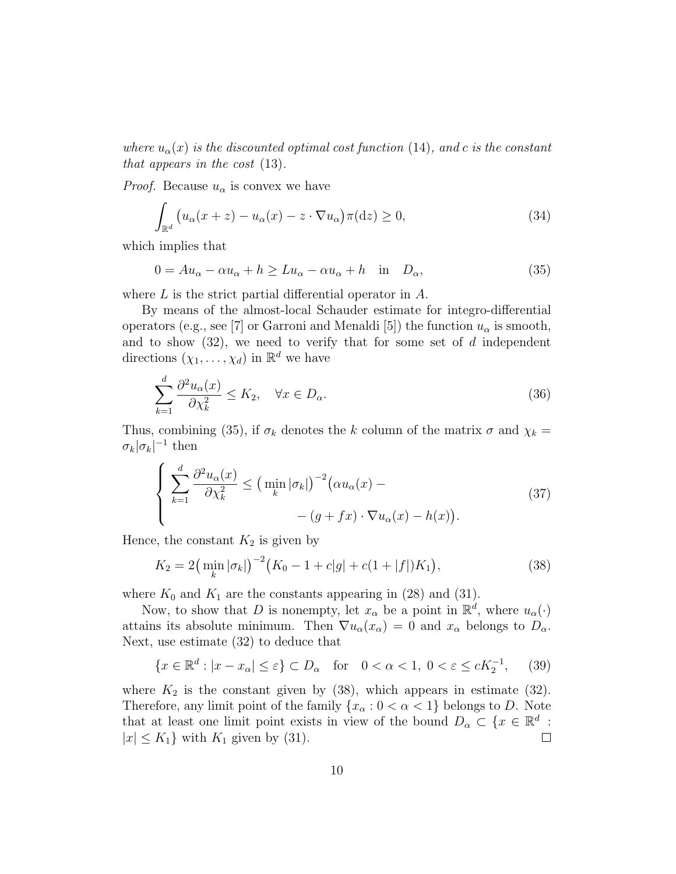where  $u_{\alpha}(x)$  is the discounted optimal cost function (14), and c is the constant that appears in the cost (13).

*Proof.* Because  $u_{\alpha}$  is convex we have

$$
\int_{\mathbb{R}^d} \left( u_\alpha(x+z) - u_\alpha(x) - z \cdot \nabla u_\alpha \right) \pi(\mathrm{d}z) \ge 0,\tag{34}
$$

which implies that

$$
0 = Au_{\alpha} - \alpha u_{\alpha} + h \ge Lu_{\alpha} - \alpha u_{\alpha} + h \quad \text{in} \quad D_{\alpha}, \tag{35}
$$

where L is the strict partial differential operator in A.

By means of the almost-local Schauder estimate for integro-differential operators (e.g., see [7] or Garroni and Menaldi [5]) the function  $u_{\alpha}$  is smooth, and to show  $(32)$ , we need to verify that for some set of d independent directions  $(\chi_1, \ldots, \chi_d)$  in  $\mathbb{R}^d$  we have

$$
\sum_{k=1}^{d} \frac{\partial^2 u_{\alpha}(x)}{\partial \chi_k^2} \le K_2, \quad \forall x \in D_{\alpha}.\tag{36}
$$

Thus, combining (35), if  $\sigma_k$  denotes the k column of the matrix  $\sigma$  and  $\chi_k =$  $\sigma_k |\sigma_k|^{-1}$  then

$$
\left\{\n\sum_{k=1}^{d} \frac{\partial^2 u_{\alpha}(x)}{\partial \chi_k^2} \leq \left(\n\min_k |\sigma_k|\right)^{-2} \left(\alpha u_{\alpha}(x) - \n\sum_{j=1}^{d} \sigma_j(x) \right) - \left(g + fx\right) \cdot \nabla u_{\alpha}(x) - h(x)\n\right).
$$
\n(37)

Hence, the constant  $K_2$  is given by

$$
K_2 = 2\left(\min_k |\sigma_k|\right)^{-2} \left(K_0 - 1 + c|g| + c(1 + |f|)K_1\right),\tag{38}
$$

where  $K_0$  and  $K_1$  are the constants appearing in (28) and (31).

Now, to show that D is nonempty, let  $x_\alpha$  be a point in  $\mathbb{R}^d$ , where  $u_\alpha(\cdot)$ attains its absolute minimum. Then  $\nabla u_{\alpha}(x_{\alpha}) = 0$  and  $x_{\alpha}$  belongs to  $D_{\alpha}$ . Next, use estimate (32) to deduce that

$$
\{x \in \mathbb{R}^d : |x - x_\alpha| \le \varepsilon\} \subset D_\alpha \quad \text{for} \quad 0 < \alpha < 1, \ 0 < \varepsilon \le cK_2^{-1}, \tag{39}
$$

where  $K_2$  is the constant given by (38), which appears in estimate (32). Therefore, any limit point of the family  $\{x_\alpha : 0 < \alpha < 1\}$  belongs to D. Note that at least one limit point exists in view of the bound  $D_{\alpha} \subset \{x \in \mathbb{R}^d :$  $|x| \leq K_1$  with  $K_1$  given by (31).  $\Box$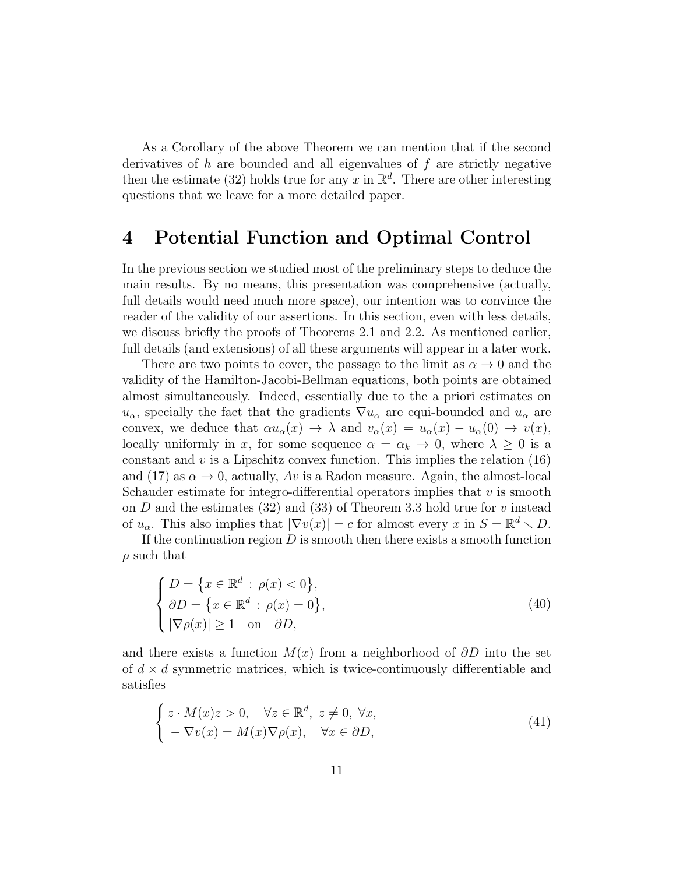As a Corollary of the above Theorem we can mention that if the second derivatives of  $h$  are bounded and all eigenvalues of  $f$  are strictly negative then the estimate (32) holds true for any x in  $\mathbb{R}^d$ . There are other interesting questions that we leave for a more detailed paper.

#### 4 Potential Function and Optimal Control

In the previous section we studied most of the preliminary steps to deduce the main results. By no means, this presentation was comprehensive (actually, full details would need much more space), our intention was to convince the reader of the validity of our assertions. In this section, even with less details, we discuss briefly the proofs of Theorems 2.1 and 2.2. As mentioned earlier, full details (and extensions) of all these arguments will appear in a later work.

There are two points to cover, the passage to the limit as  $\alpha \to 0$  and the validity of the Hamilton-Jacobi-Bellman equations, both points are obtained almost simultaneously. Indeed, essentially due to the a priori estimates on  $u_{\alpha}$ , specially the fact that the gradients  $\nabla u_{\alpha}$  are equi-bounded and  $u_{\alpha}$  are convex, we deduce that  $\alpha u_{\alpha}(x) \rightarrow \lambda$  and  $v_{\alpha}(x) = u_{\alpha}(x) - u_{\alpha}(0) \rightarrow v(x)$ , locally uniformly in x, for some sequence  $\alpha = \alpha_k \to 0$ , where  $\lambda \geq 0$  is a constant and  $v$  is a Lipschitz convex function. This implies the relation  $(16)$ and (17) as  $\alpha \to 0$ , actually, Av is a Radon measure. Again, the almost-local Schauder estimate for integro-differential operators implies that  $v$  is smooth on D and the estimates (32) and (33) of Theorem 3.3 hold true for  $v$  instead of  $u_{\alpha}$ . This also implies that  $|\nabla v(x)| = c$  for almost every x in  $S = \mathbb{R}^d \setminus D$ .

If the continuation region  $D$  is smooth then there exists a smooth function  $\rho$  such that

$$
\begin{cases}\nD = \{x \in \mathbb{R}^d : \rho(x) < 0\}, \\
\partial D = \{x \in \mathbb{R}^d : \rho(x) = 0\}, \\
|\nabla \rho(x)| \ge 1 \quad \text{on} \quad \partial D,\n\end{cases} \tag{40}
$$

and there exists a function  $M(x)$  from a neighborhood of  $\partial D$  into the set of  $d \times d$  symmetric matrices, which is twice-continuously differentiable and satisfies

$$
\begin{cases}\nz \cdot M(x)z > 0, \quad \forall z \in \mathbb{R}^d, \ z \neq 0, \ \forall x, \\
-\nabla v(x) = M(x)\nabla \rho(x), \quad \forall x \in \partial D,\n\end{cases} \tag{41}
$$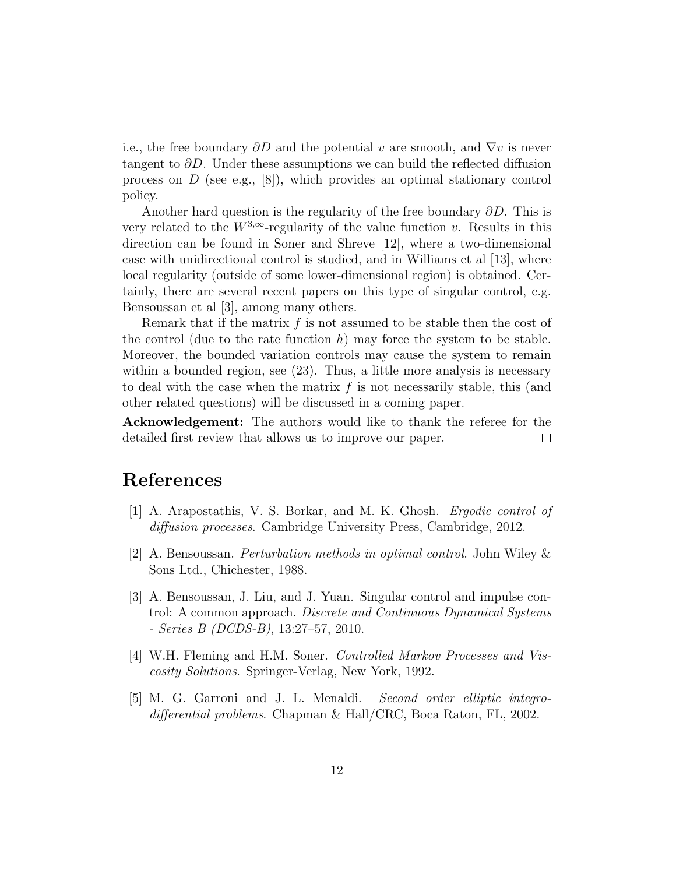i.e., the free boundary  $\partial D$  and the potential v are smooth, and  $\nabla v$  is never tangent to  $\partial D$ . Under these assumptions we can build the reflected diffusion process on  $D$  (see e.g., [8]), which provides an optimal stationary control policy.

Another hard question is the regularity of the free boundary  $\partial D$ . This is very related to the  $W^{3,\infty}$ -regularity of the value function v. Results in this direction can be found in Soner and Shreve [12], where a two-dimensional case with unidirectional control is studied, and in Williams et al [13], where local regularity (outside of some lower-dimensional region) is obtained. Certainly, there are several recent papers on this type of singular control, e.g. Bensoussan et al [3], among many others.

Remark that if the matrix  $f$  is not assumed to be stable then the cost of the control (due to the rate function  $h$ ) may force the system to be stable. Moreover, the bounded variation controls may cause the system to remain within a bounded region, see (23). Thus, a little more analysis is necessary to deal with the case when the matrix  $f$  is not necessarily stable, this (and other related questions) will be discussed in a coming paper.

Acknowledgement: The authors would like to thank the referee for the detailed first review that allows us to improve our paper.  $\Box$ 

## References

- [1] A. Arapostathis, V. S. Borkar, and M. K. Ghosh. Ergodic control of diffusion processes. Cambridge University Press, Cambridge, 2012.
- [2] A. Bensoussan. Perturbation methods in optimal control. John Wiley & Sons Ltd., Chichester, 1988.
- [3] A. Bensoussan, J. Liu, and J. Yuan. Singular control and impulse control: A common approach. Discrete and Continuous Dynamical Systems - Series B (DCDS-B), 13:27–57, 2010.
- [4] W.H. Fleming and H.M. Soner. Controlled Markov Processes and Viscosity Solutions. Springer-Verlag, New York, 1992.
- [5] M. G. Garroni and J. L. Menaldi. Second order elliptic integrodifferential problems. Chapman & Hall/CRC, Boca Raton, FL, 2002.